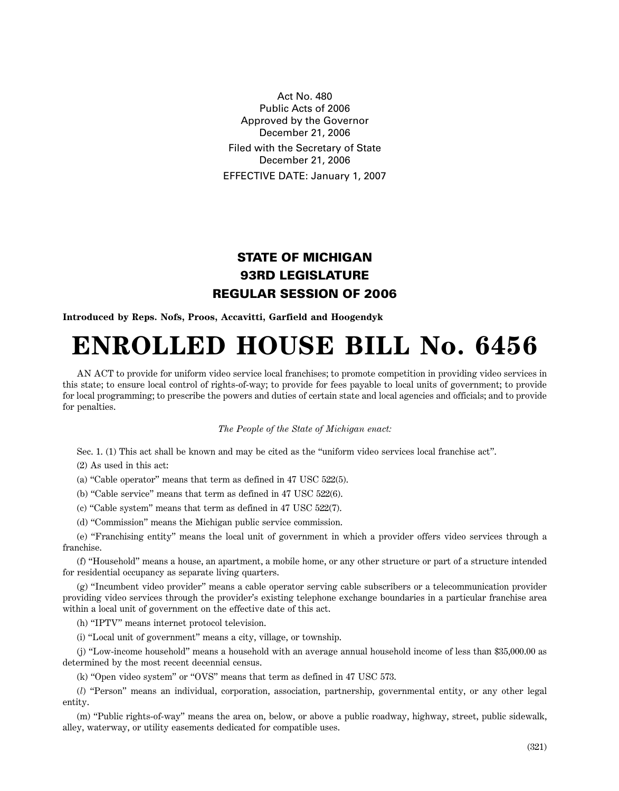Act No. 480 Public Acts of 2006 Approved by the Governor December 21, 2006 Filed with the Secretary of State December 21, 2006 EFFECTIVE DATE: January 1, 2007

## **STATE OF MICHIGAN 93RD LEGISLATURE REGULAR SESSION OF 2006**

**Introduced by Reps. Nofs, Proos, Accavitti, Garfield and Hoogendyk**

## **ENROLLED HOUSE BILL No. 6456**

AN ACT to provide for uniform video service local franchises; to promote competition in providing video services in this state; to ensure local control of rights-of-way; to provide for fees payable to local units of government; to provide for local programming; to prescribe the powers and duties of certain state and local agencies and officials; and to provide for penalties.

## *The People of the State of Michigan enact:*

Sec. 1. (1) This act shall be known and may be cited as the "uniform video services local franchise act".

(2) As used in this act:

(a) "Cable operator" means that term as defined in 47 USC 522(5).

(b) "Cable service" means that term as defined in 47 USC 522(6).

(c) "Cable system" means that term as defined in 47 USC 522(7).

(d) "Commission" means the Michigan public service commission.

(e) "Franchising entity" means the local unit of government in which a provider offers video services through a franchise.

(f) "Household" means a house, an apartment, a mobile home, or any other structure or part of a structure intended for residential occupancy as separate living quarters.

(g) "Incumbent video provider" means a cable operator serving cable subscribers or a telecommunication provider providing video services through the provider's existing telephone exchange boundaries in a particular franchise area within a local unit of government on the effective date of this act.

(h) "IPTV" means internet protocol television.

(i) "Local unit of government" means a city, village, or township.

(j) "Low-income household" means a household with an average annual household income of less than \$35,000.00 as determined by the most recent decennial census.

(k) "Open video system" or "OVS" means that term as defined in 47 USC 573.

(*l*) "Person" means an individual, corporation, association, partnership, governmental entity, or any other legal entity.

(m) "Public rights-of-way" means the area on, below, or above a public roadway, highway, street, public sidewalk, alley, waterway, or utility easements dedicated for compatible uses.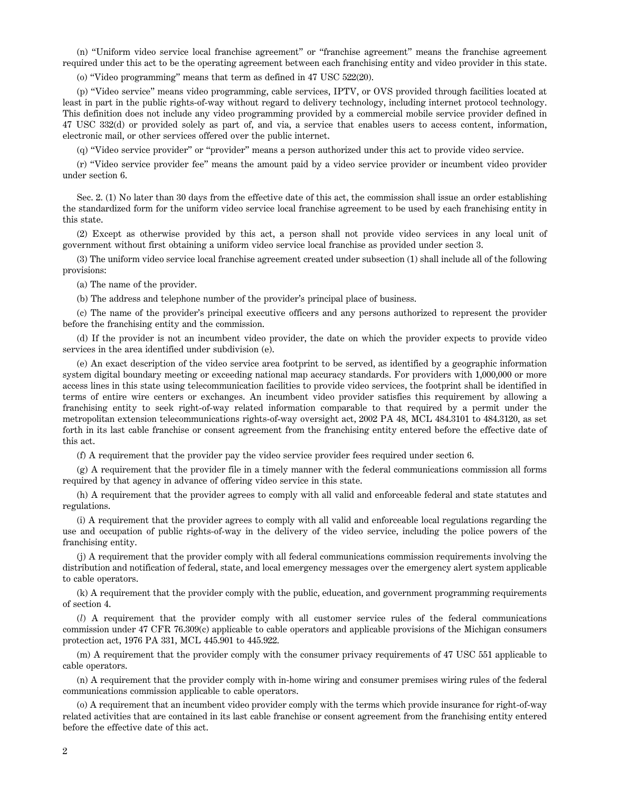(n) "Uniform video service local franchise agreement" or "franchise agreement" means the franchise agreement required under this act to be the operating agreement between each franchising entity and video provider in this state.

(o) "Video programming" means that term as defined in 47 USC 522(20).

(p) "Video service" means video programming, cable services, IPTV, or OVS provided through facilities located at least in part in the public rights-of-way without regard to delivery technology, including internet protocol technology. This definition does not include any video programming provided by a commercial mobile service provider defined in 47 USC 332(d) or provided solely as part of, and via, a service that enables users to access content, information, electronic mail, or other services offered over the public internet.

(q) "Video service provider" or "provider" means a person authorized under this act to provide video service.

(r) "Video service provider fee" means the amount paid by a video service provider or incumbent video provider under section 6.

Sec. 2. (1) No later than 30 days from the effective date of this act, the commission shall issue an order establishing the standardized form for the uniform video service local franchise agreement to be used by each franchising entity in this state.

(2) Except as otherwise provided by this act, a person shall not provide video services in any local unit of government without first obtaining a uniform video service local franchise as provided under section 3.

(3) The uniform video service local franchise agreement created under subsection (1) shall include all of the following provisions:

(a) The name of the provider.

(b) The address and telephone number of the provider's principal place of business.

(c) The name of the provider's principal executive officers and any persons authorized to represent the provider before the franchising entity and the commission.

(d) If the provider is not an incumbent video provider, the date on which the provider expects to provide video services in the area identified under subdivision (e).

(e) An exact description of the video service area footprint to be served, as identified by a geographic information system digital boundary meeting or exceeding national map accuracy standards. For providers with 1,000,000 or more access lines in this state using telecommunication facilities to provide video services, the footprint shall be identified in terms of entire wire centers or exchanges. An incumbent video provider satisfies this requirement by allowing a franchising entity to seek right-of-way related information comparable to that required by a permit under the metropolitan extension telecommunications rights-of-way oversight act, 2002 PA 48, MCL 484.3101 to 484.3120, as set forth in its last cable franchise or consent agreement from the franchising entity entered before the effective date of this act.

(f) A requirement that the provider pay the video service provider fees required under section 6.

 $(g)$  A requirement that the provider file in a timely manner with the federal communications commission all forms required by that agency in advance of offering video service in this state.

(h) A requirement that the provider agrees to comply with all valid and enforceable federal and state statutes and regulations.

(i) A requirement that the provider agrees to comply with all valid and enforceable local regulations regarding the use and occupation of public rights-of-way in the delivery of the video service, including the police powers of the franchising entity.

(j) A requirement that the provider comply with all federal communications commission requirements involving the distribution and notification of federal, state, and local emergency messages over the emergency alert system applicable to cable operators.

(k) A requirement that the provider comply with the public, education, and government programming requirements of section 4.

(*l*) A requirement that the provider comply with all customer service rules of the federal communications commission under 47 CFR 76.309(c) applicable to cable operators and applicable provisions of the Michigan consumers protection act, 1976 PA 331, MCL 445.901 to 445.922.

(m) A requirement that the provider comply with the consumer privacy requirements of 47 USC 551 applicable to cable operators.

(n) A requirement that the provider comply with in-home wiring and consumer premises wiring rules of the federal communications commission applicable to cable operators.

(o) A requirement that an incumbent video provider comply with the terms which provide insurance for right-of-way related activities that are contained in its last cable franchise or consent agreement from the franchising entity entered before the effective date of this act.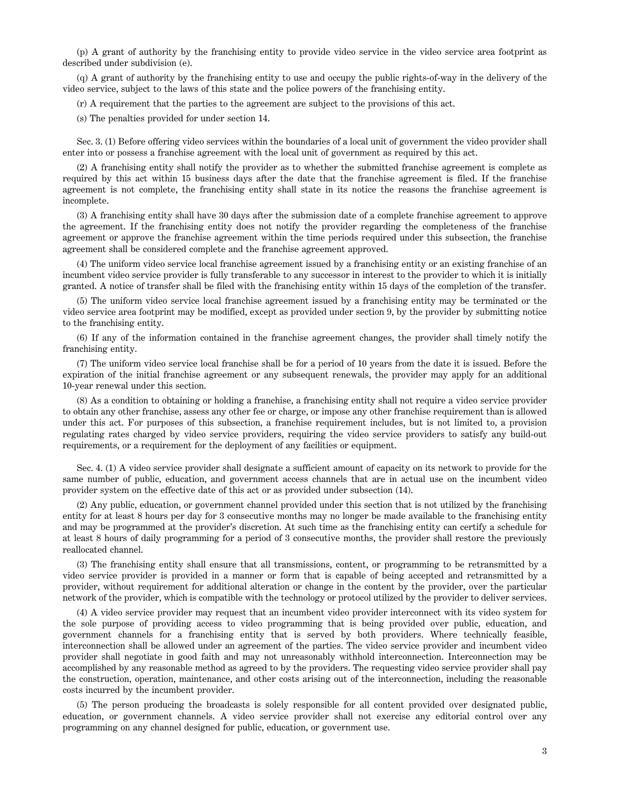(p) A grant of authority by the franchising entity to provide video service in the video service area footprint as described under subdivision (e).

(q) A grant of authority by the franchising entity to use and occupy the public rights-of-way in the delivery of the video service, subject to the laws of this state and the police powers of the franchising entity.

(r) A requirement that the parties to the agreement are subject to the provisions of this act.

(s) The penalties provided for under section 14.

Sec. 3. (1) Before offering video services within the boundaries of a local unit of government the video provider shall enter into or possess a franchise agreement with the local unit of government as required by this act.

(2) A franchising entity shall notify the provider as to whether the submitted franchise agreement is complete as required by this act within 15 business days after the date that the franchise agreement is filed. If the franchise agreement is not complete, the franchising entity shall state in its notice the reasons the franchise agreement is incomplete.

(3) A franchising entity shall have 30 days after the submission date of a complete franchise agreement to approve the agreement. If the franchising entity does not notify the provider regarding the completeness of the franchise agreement or approve the franchise agreement within the time periods required under this subsection, the franchise agreement shall be considered complete and the franchise agreement approved.

(4) The uniform video service local franchise agreement issued by a franchising entity or an existing franchise of an incumbent video service provider is fully transferable to any successor in interest to the provider to which it is initially granted. A notice of transfer shall be filed with the franchising entity within 15 days of the completion of the transfer.

(5) The uniform video service local franchise agreement issued by a franchising entity may be terminated or the video service area footprint may be modified, except as provided under section 9, by the provider by submitting notice to the franchising entity.

(6) If any of the information contained in the franchise agreement changes, the provider shall timely notify the franchising entity.

(7) The uniform video service local franchise shall be for a period of 10 years from the date it is issued. Before the expiration of the initial franchise agreement or any subsequent renewals, the provider may apply for an additional 10-year renewal under this section.

(8) As a condition to obtaining or holding a franchise, a franchising entity shall not require a video service provider to obtain any other franchise, assess any other fee or charge, or impose any other franchise requirement than is allowed under this act. For purposes of this subsection, a franchise requirement includes, but is not limited to, a provision regulating rates charged by video service providers, requiring the video service providers to satisfy any build-out requirements, or a requirement for the deployment of any facilities or equipment.

Sec. 4. (1) A video service provider shall designate a sufficient amount of capacity on its network to provide for the same number of public, education, and government access channels that are in actual use on the incumbent video provider system on the effective date of this act or as provided under subsection (14).

(2) Any public, education, or government channel provided under this section that is not utilized by the franchising entity for at least 8 hours per day for 3 consecutive months may no longer be made available to the franchising entity and may be programmed at the provider's discretion. At such time as the franchising entity can certify a schedule for at least 8 hours of daily programming for a period of 3 consecutive months, the provider shall restore the previously reallocated channel.

(3) The franchising entity shall ensure that all transmissions, content, or programming to be retransmitted by a video service provider is provided in a manner or form that is capable of being accepted and retransmitted by a provider, without requirement for additional alteration or change in the content by the provider, over the particular network of the provider, which is compatible with the technology or protocol utilized by the provider to deliver services.

(4) A video service provider may request that an incumbent video provider interconnect with its video system for the sole purpose of providing access to video programming that is being provided over public, education, and government channels for a franchising entity that is served by both providers. Where technically feasible, interconnection shall be allowed under an agreement of the parties. The video service provider and incumbent video provider shall negotiate in good faith and may not unreasonably withhold interconnection. Interconnection may be accomplished by any reasonable method as agreed to by the providers. The requesting video service provider shall pay the construction, operation, maintenance, and other costs arising out of the interconnection, including the reasonable costs incurred by the incumbent provider.

(5) The person producing the broadcasts is solely responsible for all content provided over designated public, education, or government channels. A video service provider shall not exercise any editorial control over any programming on any channel designed for public, education, or government use.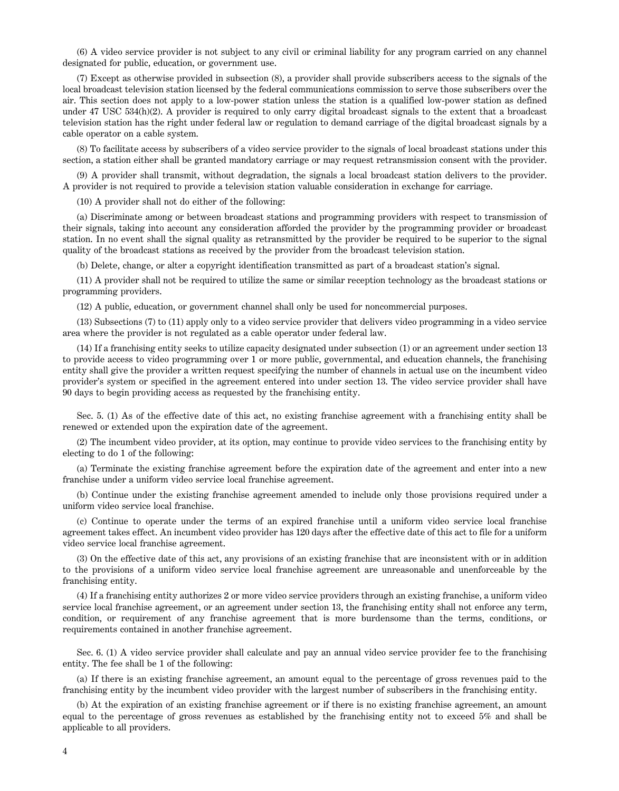(6) A video service provider is not subject to any civil or criminal liability for any program carried on any channel designated for public, education, or government use.

(7) Except as otherwise provided in subsection (8), a provider shall provide subscribers access to the signals of the local broadcast television station licensed by the federal communications commission to serve those subscribers over the air. This section does not apply to a low-power station unless the station is a qualified low-power station as defined under 47 USC 534(h)(2). A provider is required to only carry digital broadcast signals to the extent that a broadcast television station has the right under federal law or regulation to demand carriage of the digital broadcast signals by a cable operator on a cable system.

(8) To facilitate access by subscribers of a video service provider to the signals of local broadcast stations under this section, a station either shall be granted mandatory carriage or may request retransmission consent with the provider.

(9) A provider shall transmit, without degradation, the signals a local broadcast station delivers to the provider. A provider is not required to provide a television station valuable consideration in exchange for carriage.

(10) A provider shall not do either of the following:

(a) Discriminate among or between broadcast stations and programming providers with respect to transmission of their signals, taking into account any consideration afforded the provider by the programming provider or broadcast station. In no event shall the signal quality as retransmitted by the provider be required to be superior to the signal quality of the broadcast stations as received by the provider from the broadcast television station.

(b) Delete, change, or alter a copyright identification transmitted as part of a broadcast station's signal.

(11) A provider shall not be required to utilize the same or similar reception technology as the broadcast stations or programming providers.

(12) A public, education, or government channel shall only be used for noncommercial purposes.

(13) Subsections (7) to (11) apply only to a video service provider that delivers video programming in a video service area where the provider is not regulated as a cable operator under federal law.

(14) If a franchising entity seeks to utilize capacity designated under subsection (1) or an agreement under section 13 to provide access to video programming over 1 or more public, governmental, and education channels, the franchising entity shall give the provider a written request specifying the number of channels in actual use on the incumbent video provider's system or specified in the agreement entered into under section 13. The video service provider shall have 90 days to begin providing access as requested by the franchising entity.

Sec. 5. (1) As of the effective date of this act, no existing franchise agreement with a franchising entity shall be renewed or extended upon the expiration date of the agreement.

(2) The incumbent video provider, at its option, may continue to provide video services to the franchising entity by electing to do 1 of the following:

(a) Terminate the existing franchise agreement before the expiration date of the agreement and enter into a new franchise under a uniform video service local franchise agreement.

(b) Continue under the existing franchise agreement amended to include only those provisions required under a uniform video service local franchise.

(c) Continue to operate under the terms of an expired franchise until a uniform video service local franchise agreement takes effect. An incumbent video provider has 120 days after the effective date of this act to file for a uniform video service local franchise agreement.

(3) On the effective date of this act, any provisions of an existing franchise that are inconsistent with or in addition to the provisions of a uniform video service local franchise agreement are unreasonable and unenforceable by the franchising entity.

(4) If a franchising entity authorizes 2 or more video service providers through an existing franchise, a uniform video service local franchise agreement, or an agreement under section 13, the franchising entity shall not enforce any term, condition, or requirement of any franchise agreement that is more burdensome than the terms, conditions, or requirements contained in another franchise agreement.

Sec. 6. (1) A video service provider shall calculate and pay an annual video service provider fee to the franchising entity. The fee shall be 1 of the following:

(a) If there is an existing franchise agreement, an amount equal to the percentage of gross revenues paid to the franchising entity by the incumbent video provider with the largest number of subscribers in the franchising entity.

(b) At the expiration of an existing franchise agreement or if there is no existing franchise agreement, an amount equal to the percentage of gross revenues as established by the franchising entity not to exceed 5% and shall be applicable to all providers.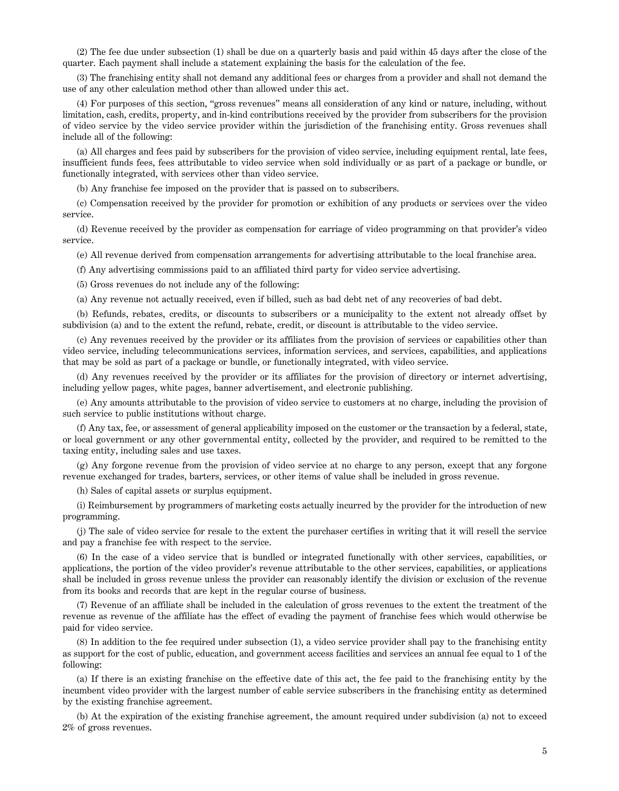(2) The fee due under subsection (1) shall be due on a quarterly basis and paid within 45 days after the close of the quarter. Each payment shall include a statement explaining the basis for the calculation of the fee.

(3) The franchising entity shall not demand any additional fees or charges from a provider and shall not demand the use of any other calculation method other than allowed under this act.

(4) For purposes of this section, "gross revenues" means all consideration of any kind or nature, including, without limitation, cash, credits, property, and in-kind contributions received by the provider from subscribers for the provision of video service by the video service provider within the jurisdiction of the franchising entity. Gross revenues shall include all of the following:

(a) All charges and fees paid by subscribers for the provision of video service, including equipment rental, late fees, insufficient funds fees, fees attributable to video service when sold individually or as part of a package or bundle, or functionally integrated, with services other than video service.

(b) Any franchise fee imposed on the provider that is passed on to subscribers.

(c) Compensation received by the provider for promotion or exhibition of any products or services over the video service.

(d) Revenue received by the provider as compensation for carriage of video programming on that provider's video service.

(e) All revenue derived from compensation arrangements for advertising attributable to the local franchise area.

(f) Any advertising commissions paid to an affiliated third party for video service advertising.

(5) Gross revenues do not include any of the following:

(a) Any revenue not actually received, even if billed, such as bad debt net of any recoveries of bad debt.

(b) Refunds, rebates, credits, or discounts to subscribers or a municipality to the extent not already offset by subdivision (a) and to the extent the refund, rebate, credit, or discount is attributable to the video service.

(c) Any revenues received by the provider or its affiliates from the provision of services or capabilities other than video service, including telecommunications services, information services, and services, capabilities, and applications that may be sold as part of a package or bundle, or functionally integrated, with video service.

(d) Any revenues received by the provider or its affiliates for the provision of directory or internet advertising, including yellow pages, white pages, banner advertisement, and electronic publishing.

(e) Any amounts attributable to the provision of video service to customers at no charge, including the provision of such service to public institutions without charge.

(f) Any tax, fee, or assessment of general applicability imposed on the customer or the transaction by a federal, state, or local government or any other governmental entity, collected by the provider, and required to be remitted to the taxing entity, including sales and use taxes.

(g) Any forgone revenue from the provision of video service at no charge to any person, except that any forgone revenue exchanged for trades, barters, services, or other items of value shall be included in gross revenue.

(h) Sales of capital assets or surplus equipment.

(i) Reimbursement by programmers of marketing costs actually incurred by the provider for the introduction of new programming.

(j) The sale of video service for resale to the extent the purchaser certifies in writing that it will resell the service and pay a franchise fee with respect to the service.

(6) In the case of a video service that is bundled or integrated functionally with other services, capabilities, or applications, the portion of the video provider's revenue attributable to the other services, capabilities, or applications shall be included in gross revenue unless the provider can reasonably identify the division or exclusion of the revenue from its books and records that are kept in the regular course of business.

(7) Revenue of an affiliate shall be included in the calculation of gross revenues to the extent the treatment of the revenue as revenue of the affiliate has the effect of evading the payment of franchise fees which would otherwise be paid for video service.

(8) In addition to the fee required under subsection (1), a video service provider shall pay to the franchising entity as support for the cost of public, education, and government access facilities and services an annual fee equal to 1 of the following:

(a) If there is an existing franchise on the effective date of this act, the fee paid to the franchising entity by the incumbent video provider with the largest number of cable service subscribers in the franchising entity as determined by the existing franchise agreement.

(b) At the expiration of the existing franchise agreement, the amount required under subdivision (a) not to exceed 2% of gross revenues.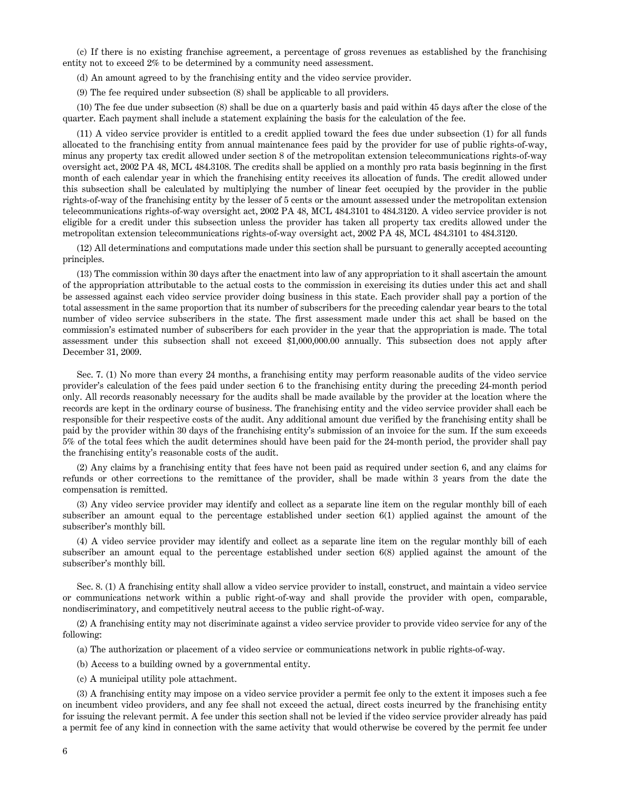(c) If there is no existing franchise agreement, a percentage of gross revenues as established by the franchising entity not to exceed 2% to be determined by a community need assessment.

(d) An amount agreed to by the franchising entity and the video service provider.

(9) The fee required under subsection (8) shall be applicable to all providers.

(10) The fee due under subsection (8) shall be due on a quarterly basis and paid within 45 days after the close of the quarter. Each payment shall include a statement explaining the basis for the calculation of the fee.

(11) A video service provider is entitled to a credit applied toward the fees due under subsection (1) for all funds allocated to the franchising entity from annual maintenance fees paid by the provider for use of public rights-of-way, minus any property tax credit allowed under section 8 of the metropolitan extension telecommunications rights-of-way oversight act, 2002 PA 48, MCL 484.3108. The credits shall be applied on a monthly pro rata basis beginning in the first month of each calendar year in which the franchising entity receives its allocation of funds. The credit allowed under this subsection shall be calculated by multiplying the number of linear feet occupied by the provider in the public rights-of-way of the franchising entity by the lesser of 5 cents or the amount assessed under the metropolitan extension telecommunications rights-of-way oversight act, 2002 PA 48, MCL 484.3101 to 484.3120. A video service provider is not eligible for a credit under this subsection unless the provider has taken all property tax credits allowed under the metropolitan extension telecommunications rights-of-way oversight act, 2002 PA 48, MCL 484.3101 to 484.3120.

(12) All determinations and computations made under this section shall be pursuant to generally accepted accounting principles.

(13) The commission within 30 days after the enactment into law of any appropriation to it shall ascertain the amount of the appropriation attributable to the actual costs to the commission in exercising its duties under this act and shall be assessed against each video service provider doing business in this state. Each provider shall pay a portion of the total assessment in the same proportion that its number of subscribers for the preceding calendar year bears to the total number of video service subscribers in the state. The first assessment made under this act shall be based on the commission's estimated number of subscribers for each provider in the year that the appropriation is made. The total assessment under this subsection shall not exceed \$1,000,000.00 annually. This subsection does not apply after December 31, 2009.

Sec. 7. (1) No more than every 24 months, a franchising entity may perform reasonable audits of the video service provider's calculation of the fees paid under section 6 to the franchising entity during the preceding 24-month period only. All records reasonably necessary for the audits shall be made available by the provider at the location where the records are kept in the ordinary course of business. The franchising entity and the video service provider shall each be responsible for their respective costs of the audit. Any additional amount due verified by the franchising entity shall be paid by the provider within 30 days of the franchising entity's submission of an invoice for the sum. If the sum exceeds 5% of the total fees which the audit determines should have been paid for the 24-month period, the provider shall pay the franchising entity's reasonable costs of the audit.

(2) Any claims by a franchising entity that fees have not been paid as required under section 6, and any claims for refunds or other corrections to the remittance of the provider, shall be made within 3 years from the date the compensation is remitted.

(3) Any video service provider may identify and collect as a separate line item on the regular monthly bill of each subscriber an amount equal to the percentage established under section 6(1) applied against the amount of the subscriber's monthly bill.

(4) A video service provider may identify and collect as a separate line item on the regular monthly bill of each subscriber an amount equal to the percentage established under section 6(8) applied against the amount of the subscriber's monthly bill.

Sec. 8. (1) A franchising entity shall allow a video service provider to install, construct, and maintain a video service or communications network within a public right-of-way and shall provide the provider with open, comparable, nondiscriminatory, and competitively neutral access to the public right-of-way.

(2) A franchising entity may not discriminate against a video service provider to provide video service for any of the following:

(a) The authorization or placement of a video service or communications network in public rights-of-way.

(b) Access to a building owned by a governmental entity.

(c) A municipal utility pole attachment.

(3) A franchising entity may impose on a video service provider a permit fee only to the extent it imposes such a fee on incumbent video providers, and any fee shall not exceed the actual, direct costs incurred by the franchising entity for issuing the relevant permit. A fee under this section shall not be levied if the video service provider already has paid a permit fee of any kind in connection with the same activity that would otherwise be covered by the permit fee under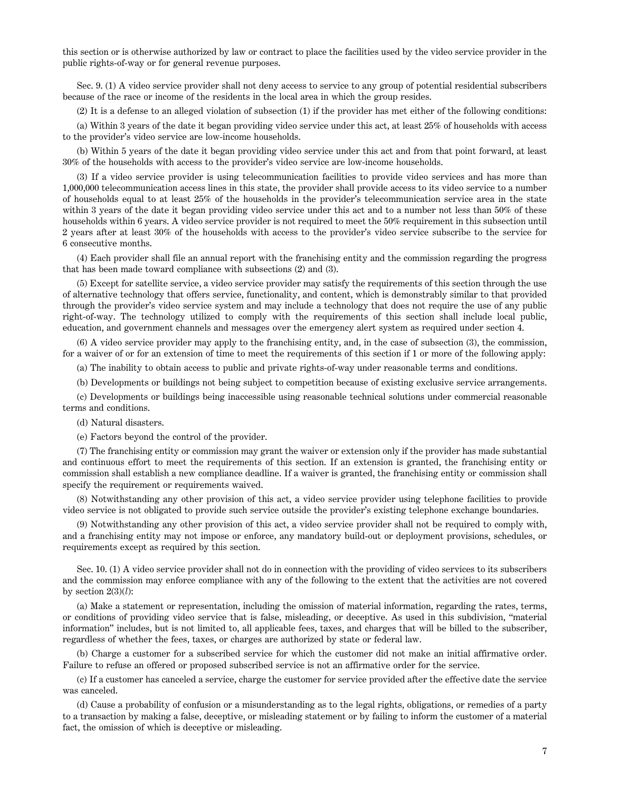this section or is otherwise authorized by law or contract to place the facilities used by the video service provider in the public rights-of-way or for general revenue purposes.

Sec. 9. (1) A video service provider shall not deny access to service to any group of potential residential subscribers because of the race or income of the residents in the local area in which the group resides.

(2) It is a defense to an alleged violation of subsection (1) if the provider has met either of the following conditions:

(a) Within 3 years of the date it began providing video service under this act, at least 25% of households with access to the provider's video service are low-income households.

(b) Within 5 years of the date it began providing video service under this act and from that point forward, at least 30% of the households with access to the provider's video service are low-income households.

(3) If a video service provider is using telecommunication facilities to provide video services and has more than 1,000,000 telecommunication access lines in this state, the provider shall provide access to its video service to a number of households equal to at least 25% of the households in the provider's telecommunication service area in the state within 3 years of the date it began providing video service under this act and to a number not less than 50% of these households within 6 years. A video service provider is not required to meet the 50% requirement in this subsection until 2 years after at least 30% of the households with access to the provider's video service subscribe to the service for 6 consecutive months.

(4) Each provider shall file an annual report with the franchising entity and the commission regarding the progress that has been made toward compliance with subsections (2) and (3).

(5) Except for satellite service, a video service provider may satisfy the requirements of this section through the use of alternative technology that offers service, functionality, and content, which is demonstrably similar to that provided through the provider's video service system and may include a technology that does not require the use of any public right-of-way. The technology utilized to comply with the requirements of this section shall include local public, education, and government channels and messages over the emergency alert system as required under section 4.

(6) A video service provider may apply to the franchising entity, and, in the case of subsection (3), the commission, for a waiver of or for an extension of time to meet the requirements of this section if 1 or more of the following apply:

(a) The inability to obtain access to public and private rights-of-way under reasonable terms and conditions.

(b) Developments or buildings not being subject to competition because of existing exclusive service arrangements.

(c) Developments or buildings being inaccessible using reasonable technical solutions under commercial reasonable terms and conditions.

(d) Natural disasters.

(e) Factors beyond the control of the provider.

(7) The franchising entity or commission may grant the waiver or extension only if the provider has made substantial and continuous effort to meet the requirements of this section. If an extension is granted, the franchising entity or commission shall establish a new compliance deadline. If a waiver is granted, the franchising entity or commission shall specify the requirement or requirements waived.

(8) Notwithstanding any other provision of this act, a video service provider using telephone facilities to provide video service is not obligated to provide such service outside the provider's existing telephone exchange boundaries.

(9) Notwithstanding any other provision of this act, a video service provider shall not be required to comply with, and a franchising entity may not impose or enforce, any mandatory build-out or deployment provisions, schedules, or requirements except as required by this section.

Sec. 10. (1) A video service provider shall not do in connection with the providing of video services to its subscribers and the commission may enforce compliance with any of the following to the extent that the activities are not covered by section  $2(3)(l)$ :

(a) Make a statement or representation, including the omission of material information, regarding the rates, terms, or conditions of providing video service that is false, misleading, or deceptive. As used in this subdivision, "material information" includes, but is not limited to, all applicable fees, taxes, and charges that will be billed to the subscriber, regardless of whether the fees, taxes, or charges are authorized by state or federal law.

(b) Charge a customer for a subscribed service for which the customer did not make an initial affirmative order. Failure to refuse an offered or proposed subscribed service is not an affirmative order for the service.

(c) If a customer has canceled a service, charge the customer for service provided after the effective date the service was canceled.

(d) Cause a probability of confusion or a misunderstanding as to the legal rights, obligations, or remedies of a party to a transaction by making a false, deceptive, or misleading statement or by failing to inform the customer of a material fact, the omission of which is deceptive or misleading.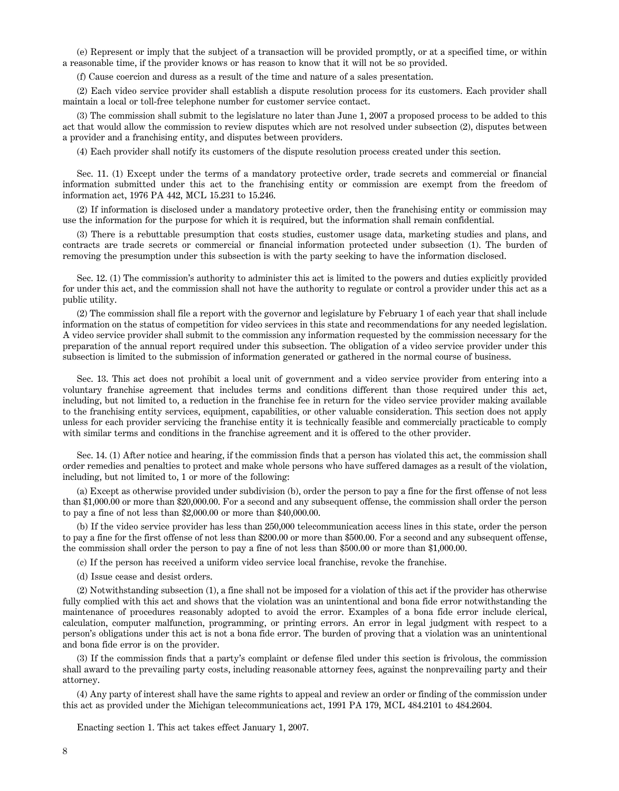(e) Represent or imply that the subject of a transaction will be provided promptly, or at a specified time, or within a reasonable time, if the provider knows or has reason to know that it will not be so provided.

(f) Cause coercion and duress as a result of the time and nature of a sales presentation.

(2) Each video service provider shall establish a dispute resolution process for its customers. Each provider shall maintain a local or toll-free telephone number for customer service contact.

(3) The commission shall submit to the legislature no later than June 1, 2007 a proposed process to be added to this act that would allow the commission to review disputes which are not resolved under subsection (2), disputes between a provider and a franchising entity, and disputes between providers.

(4) Each provider shall notify its customers of the dispute resolution process created under this section.

Sec. 11. (1) Except under the terms of a mandatory protective order, trade secrets and commercial or financial information submitted under this act to the franchising entity or commission are exempt from the freedom of information act, 1976 PA 442, MCL 15.231 to 15.246.

(2) If information is disclosed under a mandatory protective order, then the franchising entity or commission may use the information for the purpose for which it is required, but the information shall remain confidential.

(3) There is a rebuttable presumption that costs studies, customer usage data, marketing studies and plans, and contracts are trade secrets or commercial or financial information protected under subsection (1). The burden of removing the presumption under this subsection is with the party seeking to have the information disclosed.

Sec. 12. (1) The commission's authority to administer this act is limited to the powers and duties explicitly provided for under this act, and the commission shall not have the authority to regulate or control a provider under this act as a public utility.

(2) The commission shall file a report with the governor and legislature by February 1 of each year that shall include information on the status of competition for video services in this state and recommendations for any needed legislation. A video service provider shall submit to the commission any information requested by the commission necessary for the preparation of the annual report required under this subsection. The obligation of a video service provider under this subsection is limited to the submission of information generated or gathered in the normal course of business.

Sec. 13. This act does not prohibit a local unit of government and a video service provider from entering into a voluntary franchise agreement that includes terms and conditions different than those required under this act, including, but not limited to, a reduction in the franchise fee in return for the video service provider making available to the franchising entity services, equipment, capabilities, or other valuable consideration. This section does not apply unless for each provider servicing the franchise entity it is technically feasible and commercially practicable to comply with similar terms and conditions in the franchise agreement and it is offered to the other provider.

Sec. 14. (1) After notice and hearing, if the commission finds that a person has violated this act, the commission shall order remedies and penalties to protect and make whole persons who have suffered damages as a result of the violation, including, but not limited to, 1 or more of the following:

(a) Except as otherwise provided under subdivision (b), order the person to pay a fine for the first offense of not less than \$1,000.00 or more than \$20,000.00. For a second and any subsequent offense, the commission shall order the person to pay a fine of not less than \$2,000.00 or more than \$40,000.00.

(b) If the video service provider has less than 250,000 telecommunication access lines in this state, order the person to pay a fine for the first offense of not less than \$200.00 or more than \$500.00. For a second and any subsequent offense, the commission shall order the person to pay a fine of not less than \$500.00 or more than \$1,000.00.

(c) If the person has received a uniform video service local franchise, revoke the franchise.

(d) Issue cease and desist orders.

(2) Notwithstanding subsection (1), a fine shall not be imposed for a violation of this act if the provider has otherwise fully complied with this act and shows that the violation was an unintentional and bona fide error notwithstanding the maintenance of procedures reasonably adopted to avoid the error. Examples of a bona fide error include clerical, calculation, computer malfunction, programming, or printing errors. An error in legal judgment with respect to a person's obligations under this act is not a bona fide error. The burden of proving that a violation was an unintentional and bona fide error is on the provider.

(3) If the commission finds that a party's complaint or defense filed under this section is frivolous, the commission shall award to the prevailing party costs, including reasonable attorney fees, against the nonprevailing party and their attorney.

(4) Any party of interest shall have the same rights to appeal and review an order or finding of the commission under this act as provided under the Michigan telecommunications act, 1991 PA 179, MCL 484.2101 to 484.2604.

Enacting section 1. This act takes effect January 1, 2007.